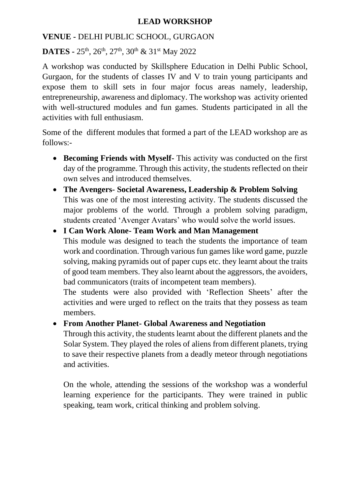## **LEAD WORKSHOP**

## **VENUE -** DELHI PUBLIC SCHOOL, GURGAON

**DATES -** 25th , 26th, 27th, 30th & 31st May 2022

A workshop was conducted by Skillsphere Education in Delhi Public School, Gurgaon, for the students of classes IV and V to train young participants and expose them to skill sets in four major focus areas namely, leadership, entrepreneurship, awareness and diplomacy. The workshop was activity oriented with well-structured modules and fun games. Students participated in all the activities with full enthusiasm.

Some of the different modules that formed a part of the LEAD workshop are as follows:-

- **Becoming Friends with Myself-** This activity was conducted on the first day of the programme. Through this activity, the students reflected on their own selves and introduced themselves.
- **The Avengers- Societal Awareness, Leadership & Problem Solving** This was one of the most interesting activity. The students discussed the major problems of the world. Through a problem solving paradigm, students created 'Avenger Avatars' who would solve the world issues.

## • **I Can Work Alone- Team Work and Man Management**

This module was designed to teach the students the importance of team work and coordination. Through various fun games like word game, puzzle solving, making pyramids out of paper cups etc. they learnt about the traits of good team members. They also learnt about the aggressors, the avoiders, bad communicators (traits of incompetent team members).

The students were also provided with 'Reflection Sheets' after the activities and were urged to reflect on the traits that they possess as team members.

## • **From Another Planet- Global Awareness and Negotiation**

Through this activity, the students learnt about the different planets and the Solar System. They played the roles of aliens from different planets, trying to save their respective planets from a deadly meteor through negotiations and activities.

On the whole, attending the sessions of the workshop was a wonderful learning experience for the participants. They were trained in public speaking, team work, critical thinking and problem solving.